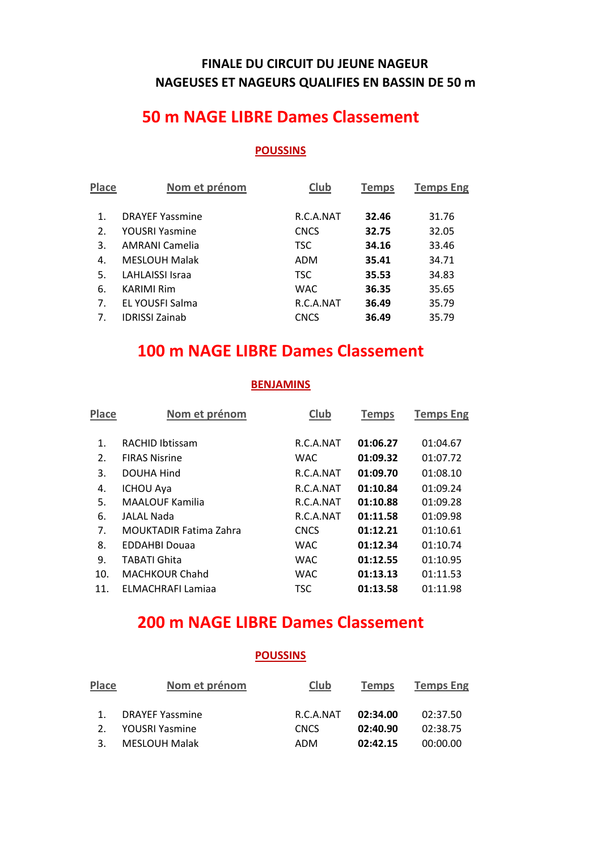## **FINALE DU CIRCUIT DU JEUNE NAGEUR NAGEUSES ET NAGEURS QUALIFIES EN BASSIN DE 50 m**

## **50 m NAGE LIBRE Dames Classement**

#### **POUSSINS**

| <b>Place</b> | Nom et prénom          | <b>Club</b> | <b>Temps</b> | <b>Temps Eng</b> |
|--------------|------------------------|-------------|--------------|------------------|
| 1.           | <b>DRAYEF Yassmine</b> | R.C.A.NAT   | 32.46        | 31.76            |
| 2.           | YOUSRI Yasmine         | <b>CNCS</b> | 32.75        | 32.05            |
| 3.           | AMRANI Camelia         | <b>TSC</b>  | 34.16        | 33.46            |
| 4.           | <b>MESLOUH Malak</b>   | <b>ADM</b>  | 35.41        | 34.71            |
| 5.           | LAHLAISSI Israa        | <b>TSC</b>  | 35.53        | 34.83            |
| 6.           | KARIMI Rim             | <b>WAC</b>  | 36.35        | 35.65            |
| 7.           | EL YOUSFI Salma        | R.C.A.NAT   | 36.49        | 35.79            |
| 7.           | <b>IDRISSI Zainab</b>  | <b>CNCS</b> | 36.49        | 35.79            |
|              |                        |             |              |                  |

## **100 m NAGE LIBRE Dames Classement**

### **BENJAMINS**

| <b>Place</b> | Nom et prénom                 | Club        | <b>Temps</b> | <b>Temps Eng</b> |
|--------------|-------------------------------|-------------|--------------|------------------|
| 1.           | <b>RACHID Ibtissam</b>        | R.C.A.NAT   | 01:06.27     | 01:04.67         |
| 2.           | <b>FIRAS Nisrine</b>          | <b>WAC</b>  | 01:09.32     | 01:07.72         |
| 3.           | DOUHA Hind                    | R.C.A.NAT   | 01:09.70     | 01:08.10         |
| 4.           | <b>ICHOU Aya</b>              | R.C.A.NAT   | 01:10.84     | 01:09.24         |
| 5.           | <b>MAALOUF Kamilia</b>        | R.C.A.NAT   | 01:10.88     | 01:09.28         |
| 6.           | JALAL Nada                    | R.C.A.NAT   | 01:11.58     | 01:09.98         |
| 7.           | <b>MOUKTADIR Fatima Zahra</b> | <b>CNCS</b> | 01:12.21     | 01:10.61         |
| 8.           | <b>EDDAHBI Douaa</b>          | <b>WAC</b>  | 01:12.34     | 01:10.74         |
| 9.           | <b>TABATI Ghita</b>           | <b>WAC</b>  | 01:12.55     | 01:10.95         |
| 10.          | <b>MACHKOUR Chahd</b>         | <b>WAC</b>  | 01:13.13     | 01:11.53         |
| 11.          | ELMACHRAFI Lamiaa             | <b>TSC</b>  | 01:13.58     | 01:11.98         |
|              |                               |             |              |                  |

# **200 m NAGE LIBRE Dames Classement**

#### **POUSSINS**

| <b>Place</b>   | Nom et prénom          | Club        | <b>Temps</b> | <b>Temps Eng</b> |
|----------------|------------------------|-------------|--------------|------------------|
| $1_{-}$        | <b>DRAYEF Yassmine</b> | R.C.A.NAT   | 02:34.00     | 02:37.50         |
| 2 <sup>1</sup> | YOUSRI Yasmine         | <b>CNCS</b> | 02:40.90     | 02:38.75         |
| 3              | <b>MESLOUH Malak</b>   | ADM         | 02:42.15     | 00:00.00         |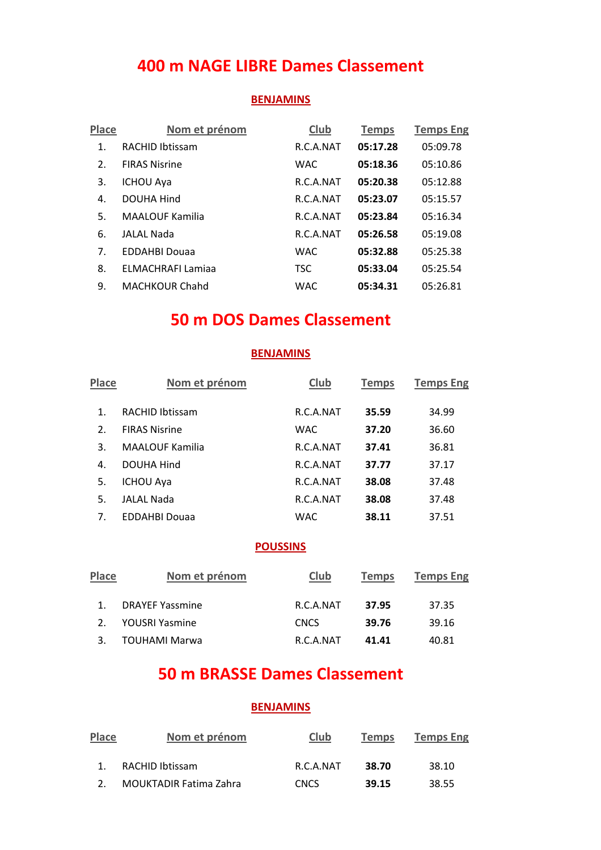# **400 m NAGE LIBRE Dames Classement**

#### **BENJAMINS**

| <b>Place</b> | Nom et prénom            | <b>Club</b> | <b>Temps</b> | <b>Temps Eng</b> |
|--------------|--------------------------|-------------|--------------|------------------|
| 1.           | <b>RACHID Ibtissam</b>   | R.C.A.NAT   | 05:17.28     | 05:09.78         |
| 2.           | <b>FIRAS Nisrine</b>     | <b>WAC</b>  | 05:18.36     | 05:10.86         |
| 3.           | <b>ICHOU Aya</b>         | R.C.A.NAT   | 05:20.38     | 05:12.88         |
| 4.           | DOUHA Hind               | R.C.A.NAT   | 05:23.07     | 05:15.57         |
| 5.           | <b>MAALOUF Kamilia</b>   | R.C.A.NAT   | 05:23.84     | 05:16.34         |
| 6.           | <b>JALAL Nada</b>        | R.C.A.NAT   | 05:26.58     | 05:19.08         |
| 7.           | <b>EDDAHBI Douaa</b>     | <b>WAC</b>  | 05:32.88     | 05:25.38         |
| 8.           | <b>ELMACHRAFI Lamiaa</b> | <b>TSC</b>  | 05:33.04     | 05:25.54         |
| 9.           | <b>MACHKOUR Chahd</b>    | <b>WAC</b>  | 05:34.31     | 05:26.81         |

## **50 m DOS Dames Classement**

### **BENJAMINS**

| <b>Place</b> | Nom et prénom          | Club       | <b>Temps</b> | <b>Temps Eng</b> |
|--------------|------------------------|------------|--------------|------------------|
| 1.           | <b>RACHID Ibtissam</b> | R.C.A.NAT  | 35.59        | 34.99            |
| 2.           | <b>FIRAS Nisrine</b>   | <b>WAC</b> | 37.20        | 36.60            |
| 3.           | <b>MAALOUF Kamilia</b> | R.C.A.NAT  | 37.41        | 36.81            |
| 4.           | DOUHA Hind             | R.C.A.NAT  | 37.77        | 37.17            |
| 5.           | <b>ICHOU Aya</b>       | R.C.A.NAT  | 38.08        | 37.48            |
| 5.           | <b>JALAL Nada</b>      | R.C.A.NAT  | 38.08        | 37.48            |
| 7.           | <b>EDDAHBI Douaa</b>   | WAC        | 38.11        | 37.51            |

#### **POUSSINS**

| Place | Nom et prénom          | Club        | <b>Temps</b> | <b>Temps Eng</b> |
|-------|------------------------|-------------|--------------|------------------|
|       | <b>DRAYEF Yassmine</b> | R.C.A.NAT   | 37.95        | 37.35            |
|       | YOUSRI Yasmine         | <b>CNCS</b> | 39.76        | 39.16            |
|       | <b>TOUHAMI Marwa</b>   | R.C.A.NAT   | 41.41        | 40.81            |

# **50 m BRASSE Dames Classement**

| <b>Place</b>  | Nom et prénom                 | <b>Club</b> | <b>Temps</b> | <b>Temps Eng</b> |
|---------------|-------------------------------|-------------|--------------|------------------|
|               | RACHID Ibtissam               | R.C.A.NAT   | 38.70        | 38.10            |
| $\mathcal{P}$ | <b>MOUKTADIR Fatima Zahra</b> | <b>CNCS</b> | 39.15        | 38.55            |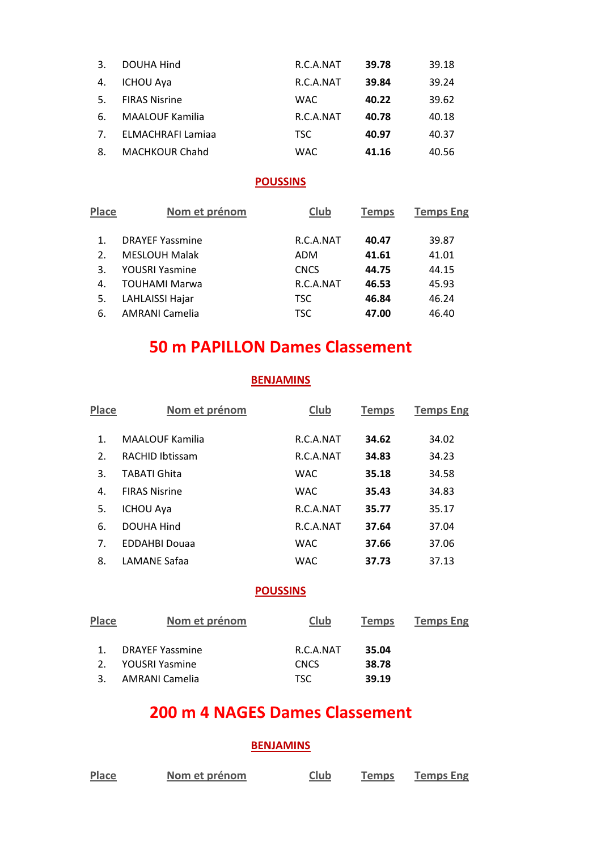| 3.             | DOUHA Hind               | R.C.A.NAT  | 39.78 | 39.18 |
|----------------|--------------------------|------------|-------|-------|
| 4.             | <b>ICHOU Aya</b>         | R.C.A.NAT  | 39.84 | 39.24 |
| 5.             | <b>FIRAS Nisrine</b>     | <b>WAC</b> | 40.22 | 39.62 |
| 6.             | <b>MAALOUF Kamilia</b>   | R.C.A.NAT  | 40.78 | 40.18 |
| 7 <sub>1</sub> | <b>ELMACHRAFI Lamiaa</b> | TSC.       | 40.97 | 40.37 |
| 8.             | <b>MACHKOUR Chahd</b>    | <b>WAC</b> | 41.16 | 40.56 |

### **POUSSINS**

| Place | Nom et prénom          | Club        | <b>Temps</b> | <b>Temps Eng</b> |
|-------|------------------------|-------------|--------------|------------------|
| 1.    | <b>DRAYEF Yassmine</b> | R.C.A.NAT   | 40.47        | 39.87            |
| 2.    | <b>MESLOUH Malak</b>   | ADM         | 41.61        | 41.01            |
| 3.    | <b>YOUSRI Yasmine</b>  | <b>CNCS</b> | 44.75        | 44.15            |
| 4.    | <b>TOUHAMI Marwa</b>   | R.C.A.NAT   | 46.53        | 45.93            |
| 5.    | LAHLAISSI Hajar        | <b>TSC</b>  | 46.84        | 46.24            |
| 6.    | <b>AMRANI Camelia</b>  | <b>TSC</b>  | 47.00        | 46.40            |
|       |                        |             |              |                  |

# **50 m PAPILLON Dames Classement**

### **BENJAMINS**

| Place | Nom et prénom          | Club       | <b>Temps</b> | <b>Temps Eng</b> |
|-------|------------------------|------------|--------------|------------------|
| 1.    | <b>MAALOUF Kamilia</b> | R.C.A.NAT  | 34.62        | 34.02            |
| 2.    | <b>RACHID Ibtissam</b> | R.C.A.NAT  | 34.83        | 34.23            |
| 3.    | <b>TABATI Ghita</b>    | <b>WAC</b> | 35.18        | 34.58            |
| 4.    | <b>FIRAS Nisrine</b>   | <b>WAC</b> | 35.43        | 34.83            |
| 5.    | <b>ICHOU Aya</b>       | R.C.A.NAT  | 35.77        | 35.17            |
| 6.    | <b>DOUHA Hind</b>      | R.C.A.NAT  | 37.64        | 37.04            |
| 7.    | <b>EDDAHBI Douaa</b>   | <b>WAC</b> | 37.66        | 37.06            |
| 8.    | LAMANE Safaa           | <b>WAC</b> | 37.73        | 37.13            |

#### **POUSSINS**

| <b>Place</b> | Nom et prénom          | Club        | <b>Temps</b> | <b>Temps Eng</b> |
|--------------|------------------------|-------------|--------------|------------------|
|              | <b>DRAYEF Yassmine</b> | R.C.A.NAT   | 35.04        |                  |
|              | YOUSRI Yasmine         | <b>CNCS</b> | 38.78        |                  |
|              | AMRANI Camelia         | TSC.        | 39.19        |                  |

## **200 m 4 NAGES Dames Classement**

| Place | Nom et prénom | Club | Temps | <b>Temps Eng</b> |
|-------|---------------|------|-------|------------------|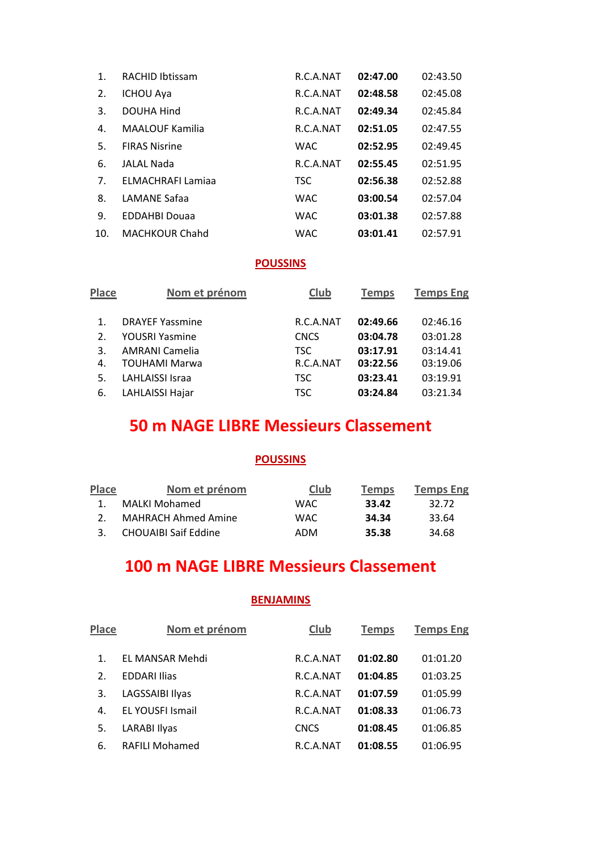| 1.  | <b>RACHID Ibtissam</b> | R.C.A.NAT  | 02:47.00 | 02:43.50 |
|-----|------------------------|------------|----------|----------|
| 2.  | <b>ICHOU Aya</b>       | R.C.A.NAT  | 02:48.58 | 02:45.08 |
| 3.  | DOUHA Hind             | R.C.A.NAT  | 02:49.34 | 02:45.84 |
| 4.  | <b>MAALOUF Kamilia</b> | R.C.A.NAT  | 02:51.05 | 02:47.55 |
| 5.  | <b>FIRAS Nisrine</b>   | <b>WAC</b> | 02:52.95 | 02:49.45 |
| 6.  | JALAL Nada             | R.C.A.NAT  | 02:55.45 | 02:51.95 |
| 7.  | ELMACHRAFI Lamiaa      | <b>TSC</b> | 02:56.38 | 02:52.88 |
| 8.  | LAMANE Safaa           | <b>WAC</b> | 03:00.54 | 02:57.04 |
| 9.  | <b>EDDAHBI Douaa</b>   | <b>WAC</b> | 03:01.38 | 02:57.88 |
| 10. | <b>MACHKOUR Chahd</b>  | <b>WAC</b> | 03:01.41 | 02:57.91 |

### **POUSSINS**

| <b>Place</b> | Nom et prénom          | Club        | <b>Temps</b> | <b>Temps Eng</b> |
|--------------|------------------------|-------------|--------------|------------------|
|              | <b>DRAYEF Yassmine</b> | R.C.A.NAT   | 02:49.66     | 02:46.16         |
|              | <b>YOUSRI Yasmine</b>  | <b>CNCS</b> | 03:04.78     | 03:01.28         |
| 3.           | <b>AMRANI Camelia</b>  | TSC.        | 03:17.91     | 03:14.41         |
| 4.           | <b>TOUHAMI Marwa</b>   | R.C.A.NAT   | 03:22.56     | 03:19.06         |
| 5.           | <b>LAHLAISSI Israa</b> | <b>TSC</b>  | 03:23.41     | 03:19.91         |
| 6.           | LAHLAISSI Hajar        | <b>TSC</b>  | 03:24.84     | 03:21.34         |

# **50 m NAGE LIBRE Messieurs Classement**

### **POUSSINS**

| Place        | Nom et prénom               | Club | <b>Temps</b> | <b>Temps Eng</b> |
|--------------|-----------------------------|------|--------------|------------------|
| $\mathbf{1}$ | MALKI Mohamed               | WAC. | 33.42        | 32.72            |
|              | MAHRACH Ahmed Amine         | WAC. | 34.34        | 33.64            |
|              | <b>CHOUAIBI Saif Eddine</b> | ADM  | 35.38        | 34.68            |

# **100 m NAGE LIBRE Messieurs Classement**

| <b>Place</b> | Nom et prénom           | Club        | <b>Temps</b> | <b>Temps Eng</b> |
|--------------|-------------------------|-------------|--------------|------------------|
| 1.           | EL MANSAR Mehdi         | R.C.A.NAT   | 01:02.80     | 01:01.20         |
| 2.           | <b>EDDARI Ilias</b>     | R.C.A.NAT   | 01:04.85     | 01:03.25         |
| 3.           | LAGSSAIBI Ilyas         | R.C.A.NAT   | 01:07.59     | 01:05.99         |
| 4.           | <b>EL YOUSFI Ismail</b> | R.C.A.NAT   | 01:08.33     | 01:06.73         |
| 5.           | <b>LARABI Ilyas</b>     | <b>CNCS</b> | 01:08.45     | 01:06.85         |
| 6.           | <b>RAFILI Mohamed</b>   | R.C.A.NAT   | 01:08.55     | 01:06.95         |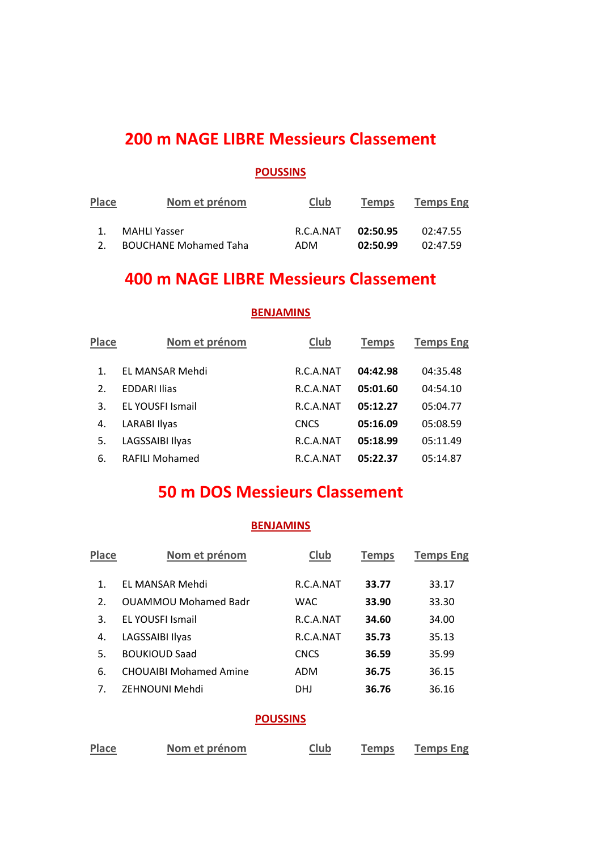## **200 m NAGE LIBRE Messieurs Classement**

#### **POUSSINS**

| Place | Nom et prénom                | Club      | <b>Temps</b> | <b>Temps Eng</b> |
|-------|------------------------------|-----------|--------------|------------------|
|       | MAHLI Yasser                 | R.C.A.NAT | 02:50.95     | 02:47.55         |
|       | <b>BOUCHANE Mohamed Taha</b> | ADM       | 02:50.99     | 02:47.59         |

## **400 m NAGE LIBRE Messieurs Classement**

**BENJAMINS**

## **Place Nom et prénom Club Temps Temps Eng** 1. EL MANSAR Mehdi R.C.A.NAT **04:42.98** 04:35.48 2. EDDARI Ilias R.C.A.NAT **05:01.60** 04:54.10 3. EL YOUSFI Ismail R.C.A.NAT **05:12.27** 05:04.77 4. LARABI Ilyas CNCS **05:16.09** 05:08.59 5. LAGSSAIBI Ilyas R.C.A.NAT **05:18.99** 05:11.49 6. RAFILI Mohamed R.C.A.NAT **05:22.37** 05:14.87

## **50 m DOS Messieurs Classement**

#### **BENJAMINS**

| <b>Place</b>    | Nom et prénom                 | Club        | <b>Temps</b> | <b>Temps Eng</b> |
|-----------------|-------------------------------|-------------|--------------|------------------|
| $\mathbf 1$ .   | EL MANSAR Mehdi               | R.C.A.NAT   | 33.77        | 33.17            |
| 2.              | <b>OUAMMOU Mohamed Badr</b>   | <b>WAC</b>  | 33.90        | 33.30            |
| 3.              | <b>FL YOUSELISMAIL</b>        | R.C.A.NAT   | 34.60        | 34.00            |
| 4.              | LAGSSAIBI Ilyas               | R.C.A.NAT   | 35.73        | 35.13            |
| 5.              | <b>BOUKIOUD Saad</b>          | <b>CNCS</b> | 36.59        | 35.99            |
| 6.              | <b>CHOUAIBI Mohamed Amine</b> | <b>ADM</b>  | 36.75        | 36.15            |
| 7.              | ZEHNOUNI Mehdi                | <b>DHJ</b>  | 36.76        | 36.16            |
| <b>POUSSINS</b> |                               |             |              |                  |

**Place Nom et prénom Club Temps Temps Eng**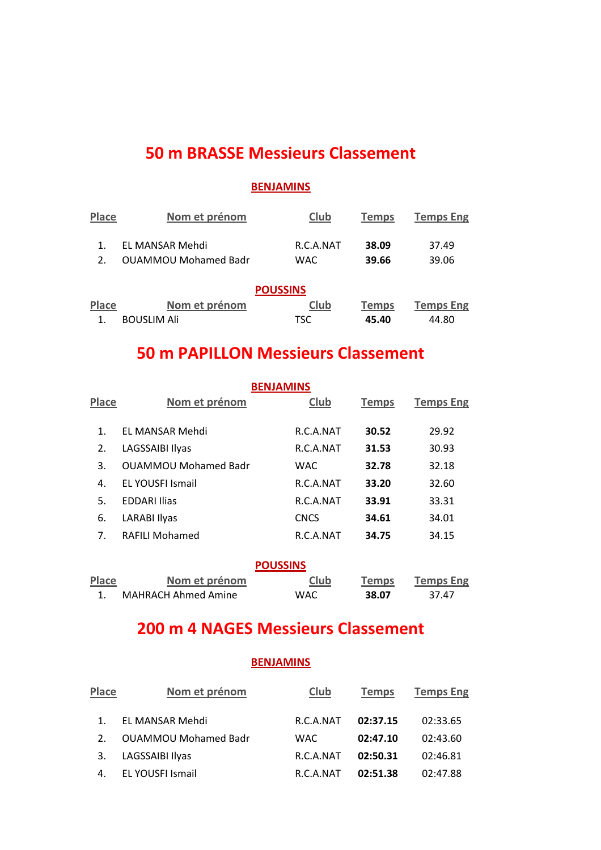# **50 m BRASSE Messieurs Classement**

### **BENJAMINS**

| Place           | Nom et prénom               | Club       | <b>Temps</b> | <b>Temps Eng</b> |  |
|-----------------|-----------------------------|------------|--------------|------------------|--|
|                 | EL MANSAR Mehdi             | R.C.A.NAT  | 38.09        | 37.49            |  |
| 2.              | <b>OUAMMOU Mohamed Badr</b> | <b>WAC</b> | 39.66        | 39.06            |  |
| <b>POUSSINS</b> |                             |            |              |                  |  |
| <b>Place</b>    | Nom et prénom               | Club       | <b>Temps</b> | <b>Temps Eng</b> |  |
|                 | <b>BOUSLIM Ali</b>          | TSC        | 45.40        | 44.80            |  |

# **50 m PAPILLON Messieurs Classement**

| <b>BENJAMINS</b> |                             |             |              |                  |  |
|------------------|-----------------------------|-------------|--------------|------------------|--|
| Place            | Nom et prénom               | Club        | <b>Temps</b> | <b>Temps Eng</b> |  |
| 1.               | EL MANSAR Mehdi             | R.C.A.NAT   | 30.52        | 29.92            |  |
| 2.               | LAGSSAIBI Ilyas             | R.C.A.NAT   | 31.53        | 30.93            |  |
| 3.               | <b>OUAMMOU Mohamed Badr</b> | <b>WAC</b>  | 32.78        | 32.18            |  |
| 4.               | <b>EL YOUSFI Ismail</b>     | R.C.A.NAT   | 33.20        | 32.60            |  |
| 5.               | <b>EDDARI Ilias</b>         | R.C.A.NAT   | 33.91        | 33.31            |  |
| 6.               | LARABI Ilyas                | <b>CNCS</b> | 34.61        | 34.01            |  |
| 7.               | <b>RAFILI Mohamed</b>       | R.C.A.NAT   | 34.75        | 34.15            |  |
|                  |                             |             |              |                  |  |

| <b>POUSSINS</b> |                     |      |              |                  |
|-----------------|---------------------|------|--------------|------------------|
| Place           | Nom et prénom       | Club | <b>Temps</b> | <b>Temps Eng</b> |
|                 | MAHRACH Ahmed Amine | WAC  | 38.07        | 37.47            |

# **200 m 4 NAGES Messieurs Classement**

| <b>Place</b>   | Nom et prénom               | Club      | <b>Temps</b> | <b>Temps Eng</b> |
|----------------|-----------------------------|-----------|--------------|------------------|
|                | EL MANSAR Mehdi             | R.C.A.NAT | 02:37.15     | 02:33.65         |
| 2 <sub>1</sub> | <b>OUAMMOU Mohamed Badr</b> | WAC.      | 02:47.10     | 02:43.60         |
| 3.             | LAGSSAIBI Ilyas             | R.C.A.NAT | 02:50.31     | 02:46.81         |
|                | EL YOUSFI Ismail            | R.C.A.NAT | 02:51.38     | 02:47.88         |